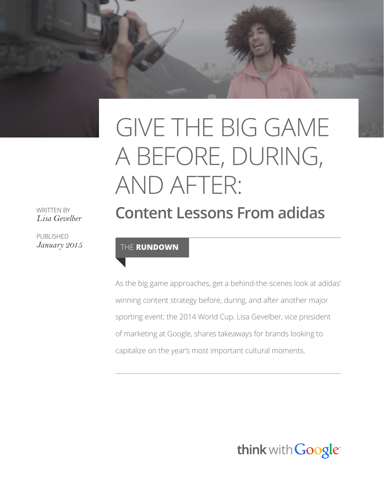# GIVE THE BIG GAME A BEFORE, DURING, AND AFTER: **Content Lessons From adidas**

WRITTEN BY *Lisa Gevelber*

PUBLISHED

#### *January 2015* THE **RUNDOWN**

As the big game approaches, get a behind-the-scenes look at adidas' winning content strategy before, during, and after another major sporting event: the 2014 World Cup. Lisa Gevelber, vice president of marketing at Google, shares takeaways for brands looking to capitalize on the year's most important cultural moments.

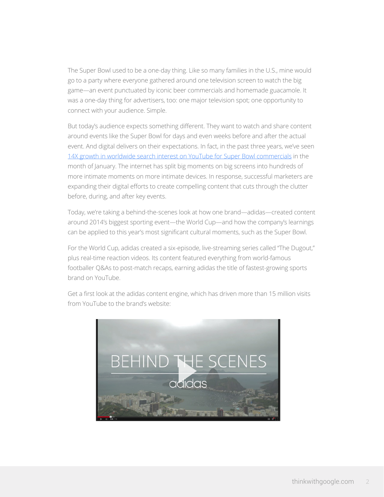The Super Bowl used to be a one-day thing. Like so many families in the U.S., mine would go to a party where everyone gathered around one television screen to watch the big game—an event punctuated by iconic beer commercials and homemade guacamole. It was a one-day thing for advertisers, too: one major television spot; one opportunity to connect with your audience. Simple.

But today's audience expects something different. They want to watch and share content around events like the Super Bowl for days and even weeks before and after the actual event. And digital delivers on their expectations. In fact, in the past three years, we've seen [14X growth in worldwide search interest on YouTube for Super Bowl commercials](https://www.thinkwithgoogle.com/articles/youtube-insights-stats-data-trends-vol9.html) in the month of January. The internet has split big moments on big screens into hundreds of more intimate moments on more intimate devices. In response, successful marketers are expanding their digital efforts to create compelling content that cuts through the clutter before, during, and after key events.

Today, we're taking a behind-the-scenes look at how one brand—adidas—created content around 2014's biggest sporting event—the World Cup—and how the company's learnings can be applied to this year's most significant cultural moments, such as the Super Bowl.

For the World Cup, adidas created a six-episode, live-streaming series called "The Dugout," plus real-time reaction videos. Its content featured everything from world-famous footballer Q&As to post-match recaps, earning adidas the title of fastest-growing sports brand on YouTube.

Get a first look at the adidas content engine, which has driven more than 15 million visits from YouTube to the brand's website:

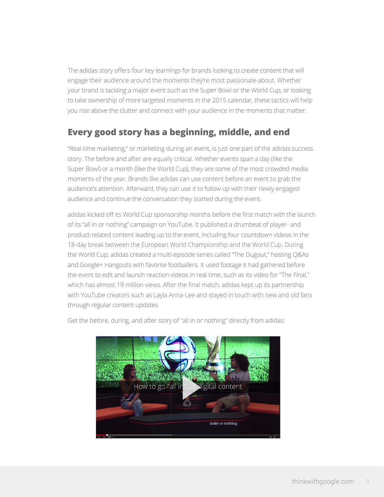The adidas story offers four key learnings for brands looking to create content that will engage their audience around the moments they're most passionate about. Whether your brand is tackling a major event such as the Super Bowl or the World Cup, or looking to take ownership of more targeted moments in the 2015 calendar, these tactics will help you rise above the clutter and connect with your audience in the moments that matter.

## **Every good story has a beginning, middle, and end**

"Real-time marketing," or marketing during an event, is just one part of the adidas success story. The before and after are equally critical. Whether events span a day (like the Super Bowl) or a month (like the World Cup), they are some of the most crowded media moments of the year. Brands like adidas can use content before an event to grab the audience's attention. Afterward, they can use it to follow up with their newly engaged audience and continue the conversation they started during the event.

adidas kicked off its World Cup sponsorship months before the first match with the launch of its "all in or nothing" campaign on YouTube. It published a drumbeat of player- and product-related content leading up to the event, including four countdown videos in the 18-day break between the European World Championship and the World Cup. During the World Cup, adidas created a multi-episode series called "The Dugout," hosting Q&As and Google+ Hangouts with favorite footballers. It used footage it had gathered before the event to edit and launch reaction videos in real time, such as its video for "The Final," which has almost 19 million views. After the final match, adidas kept up its partnership with YouTube creators such as Layla Anna-Lee and stayed in touch with new and old fans through regular content updates.



Get the before, during, and after story of "all in or nothing" directly from adidas: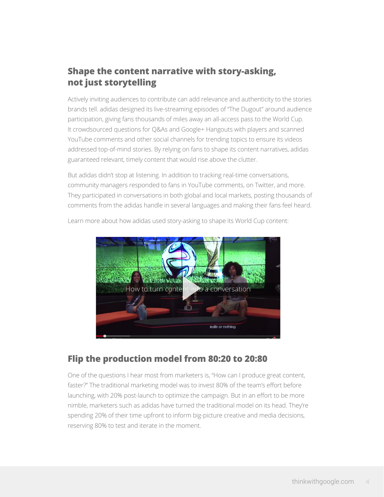## **Shape the content narrative with story-asking, not just storytelling**

Actively inviting audiences to contribute can add relevance and authenticity to the stories brands tell. adidas designed its live-streaming episodes of "The Dugout" around audience participation, giving fans thousands of miles away an all-access pass to the World Cup. It crowdsourced questions for Q&As and Google+ Hangouts with players and scanned YouTube comments and other social channels for trending topics to ensure its videos addressed top-of-mind stories. By relying on fans to shape its content narratives, adidas guaranteed relevant, timely content that would rise above the clutter.

But adidas didn't stop at listening. In addition to tracking real-time conversations, community managers responded to fans in YouTube comments, on Twitter, and more. They participated in conversations in both global and local markets, posting thousands of comments from the adidas handle in several languages and making their fans feel heard.



Learn more about how adidas used story-asking to shape its World Cup content:

### **Flip the production model from 80:20 to 20:80**

One of the questions I hear most from marketers is, "How can I produce great content, faster?" The traditional marketing model was to invest 80% of the team's effort before launching, with 20% post-launch to optimize the campaign. But in an effort to be more nimble, marketers such as adidas have turned the traditional model on its head. They're spending 20% of their time upfront to inform big-picture creative and media decisions, reserving 80% to test and iterate in the moment.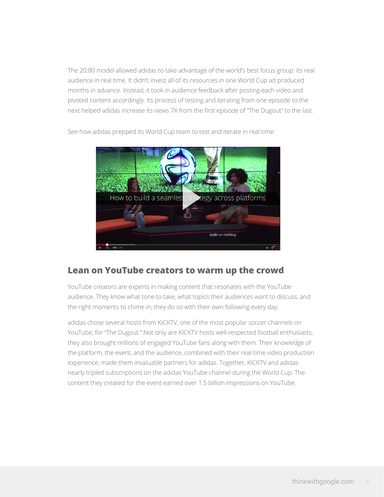The 20:80 model allowed adidas to take advantage of the world's best focus group: its real audience in real time. It didn't invest all of its resources in one World Cup ad produced months in advance. Instead, it took in audience feedback after posting each video and pivoted content accordingly. Its process of testing and iterating from one episode to the next helped adidas increase its views 7X from the first episode of "The Dugout" to the last.



See how adidas prepped its World Cup team to test and iterate in real time:

#### **Lean on YouTube creators to warm up the crowd**

YouTube creators are experts in making content that resonates with the YouTube audience. They know what tone to take, what topics their audiences want to discuss, and the right moments to chime in; they do so with their own following every day.

adidas chose several hosts from KICKTV, one of the most popular soccer channels on YouTube, for "The Dugout." Not only are KICKTV hosts well-respected football enthusiasts, they also brought millions of engaged YouTube fans along with them. Their knowledge of the platform, the event, and the audience, combined with their real-time video production experience, made them invaluable partners for adidas. Together, KICKTV and adidas nearly tripled subscriptions on the adidas YouTube channel during the World Cup. The content they created for the event earned over 1.5 billion impressions on YouTube.